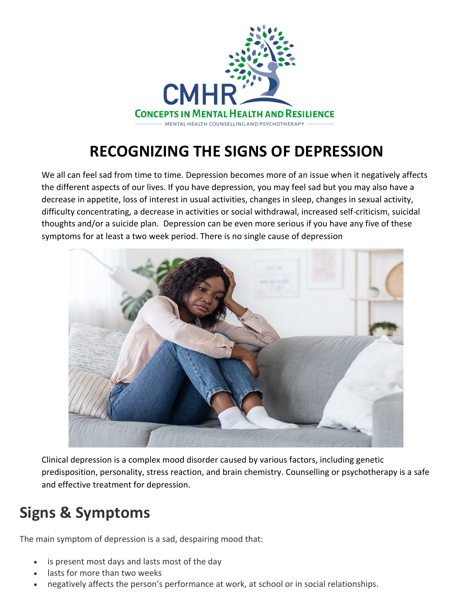

# **RECOGNIZING THE SIGNS OF DEPRESSION**

We all can feel sad from time to time. Depression becomes more of an issue when it negatively affects the different aspects of our lives. If you have depression, you may feel sad but you may also have a decrease in appetite, loss of interest in usual activities, changes in sleep, changes in sexual activity, difficulty concentrating, a decrease in activities or social withdrawal, increased self-criticism, suicidal thoughts and/or a suicide plan. Depression can be even more serious if you have any five of these symptoms for at least a two week period. There is no single cause of depression



Clinical depression is a complex mood disorder caused by various factors, including genetic predisposition, personality, stress reaction, and brain chemistry. Counselling or psychotherapy is a safe and effective treatment for depression.

## **Signs & Symptoms**

The main symptom of depression is a sad, despairing mood that:

- is present most days and lasts most of the day
- lasts for more than two weeks
- negatively affects the person's performance at work, at school or in social relationships.